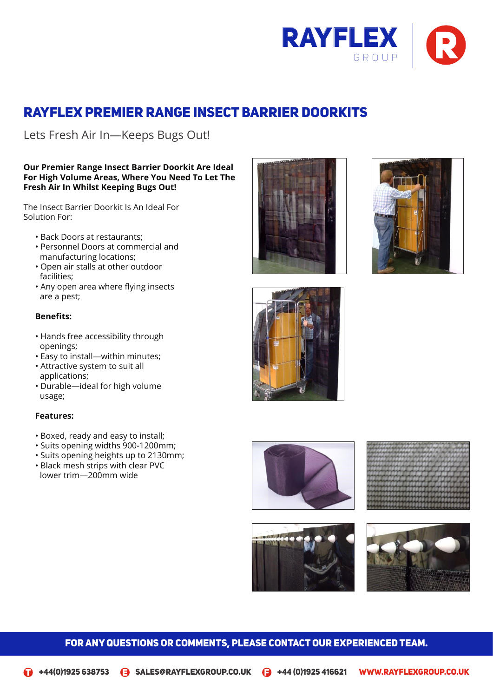

# Rayflex Premier Range Insect Barrier Doorkits

Lets Fresh Air In-Keeps Bugs Out!

# **Our Premier Range Insect Barrier Doorkit Are Ideal For High Volume Areas, Where You Need To Let The Fresh Air In Whilst Keeping Bugs Out!**

The Insect Barrier Doorkit Is An Ideal For<br>Solution For: Premier Doorkit Is An Ideal For Solution For:

- Back Doors at restaurants;
- Personnel Doors at commercial and manufacturing locations;
- Open air stalls at other outdoor Lets Fresh Air In—Keeps Bugs Out! facilities;
- Any open area where flying insects are a pest;

# **Benefits:**

- Hands free accessibility through openings;
- Easy to install—within minutes;
- Attractive system to suit all applications;
- Durable—ideal for high volume usage;

# **Features:**

- $\bullet$  Boxed, ready and easy to install;
- Suits opening widths 900-1200mm;
	- Suits opening heights up to 2130mm;
	- Black mesh strips with clear PVC lower trim—200mm wide















openings;

 $\mathcal{A}(\mathcal{A})$ 

#### FOR ANY QUESTIONS OR COMMENTS, PLEASE CONTACT OUR EXPERIENCED TEAM. Suits opening widths 900-1200mm; Suits opening heights up to 2130mm; Suits opening widths 900-1200mm; Suits opening heights up to 2130mm; and 2130mm; and 2130mm; and 2130mm; and 2130mm; and 2130mm; and 2130mm; an TIONS OR COMMENTS, PLEASE CONTACT OUR EXPERIENCED TEAM. The station of the station openings;  $\mathbb{S}^1$  Suits opening widths 900-1200 mm;